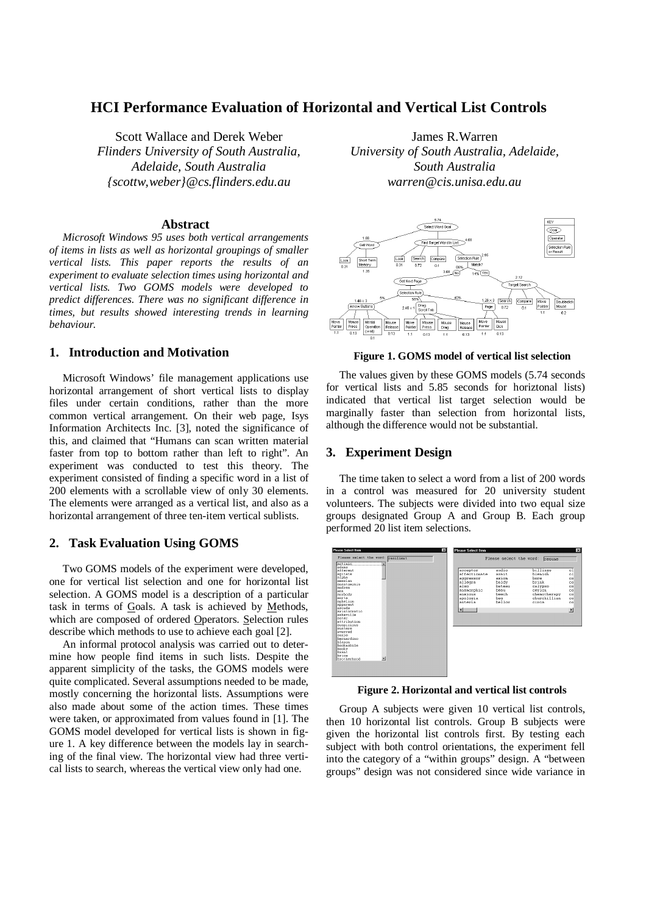# **HCI Performance Evaluation of Horizontal and Vertical List Controls**

Scott Wallace and Derek Weber *Flinders University of South Australia, Adelaide, South Australia {scottw,weber}@cs.flinders.edu.au*

#### **Abstract**

*Microsoft Windows 95 uses both vertical arrangements of items in lists as well as horizontal groupings of smaller vertical lists. This paper reports the results of an experiment to evaluate selection times using horizontal and vertical lists. Two GOMS models were developed to predict differences. There was no significant difference in times, but results showed interesting trends in learning behaviour.*

## **1. Introduction and Motivation**

Microsoft Windows' file management applications use horizontal arrangement of short vertical lists to display files under certain conditions, rather than the more common vertical arrangement. On their web page, Isys Information Architects Inc. [3], noted the significance of this, and claimed that "Humans can scan written material faster from top to bottom rather than left to right". An experiment was conducted to test this theory. The experiment consisted of finding a specific word in a list of 200 elements with a scrollable view of only 30 elements. The elements were arranged as a vertical list, and also as a horizontal arrangement of three ten-item vertical sublists.

## **2. Task Evaluation Using GOMS**

Two GOMS models of the experiment were developed, one for vertical list selection and one for horizontal list selection. A GOMS model is a description of a particular task in terms of Goals. A task is achieved by Methods, which are composed of ordered Operators. Selection rules describe which methods to use to achieve each goal [2].

An informal protocol analysis was carried out to determine how people find items in such lists. Despite the apparent simplicity of the tasks, the GOMS models were quite complicated. Several assumptions needed to be made, mostly concerning the horizontal lists. Assumptions were also made about some of the action times. These times were taken, or approximated from values found in [1]. The GOMS model developed for vertical lists is shown in figure 1. A key difference between the models lay in searching of the final view. The horizontal view had three vertical lists to search, whereas the vertical view only had one.

James R.Warren *University of South Australia, Adelaide, South Australia warren@cis.unisa.edu.au*



**Figure 1. GOMS model of vertical list selection**

The values given by these GOMS models (5.74 seconds for vertical lists and 5.85 seconds for horiztonal lists) indicated that vertical list target selection would be marginally faster than selection from horizontal lists, although the difference would not be substantial.

## **3. Experiment Design**

The time taken to select a word from a list of 200 words in a control was measured for 20 university student volunteers. The subjects were divided into two equal size groups designated Group A and Group B. Each group performed 20 list item selections.



**Figure 2. Horizontal and vertical list controls**

Group A subjects were given 10 vertical list controls, then 10 horizontal list controls. Group B subjects were given the horizontal list controls first. By testing each subject with both control orientations, the experiment fell into the category of a "within groups" design. A "between groups" design was not considered since wide variance in